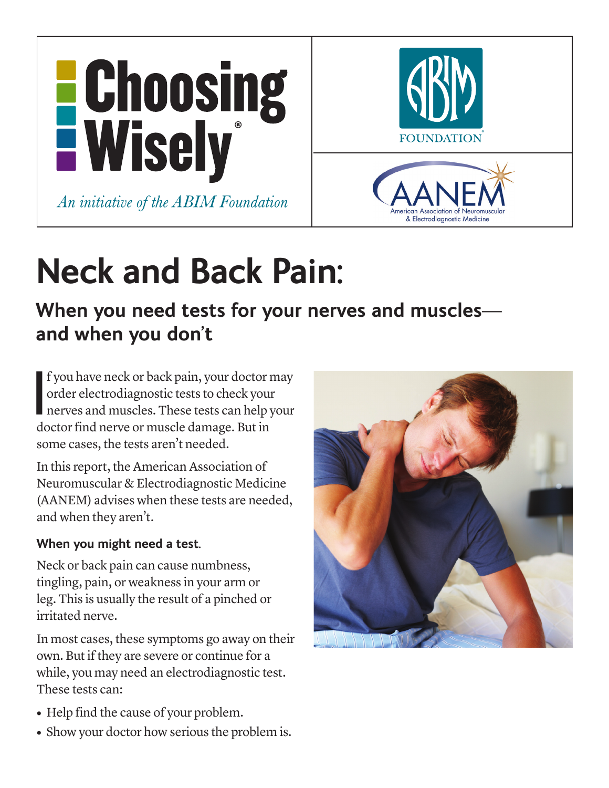

# **Neck and Back Pain:**

## **When you need tests for your nerves and muscles and when you don't**

f you have neck or back pain, your doctor if order electrodiagnostic tests to check your nerves and muscles. These tests can help y doctor find nerve or muscle damage. But in f you have neck or back pain, your doctor may order electrodiagnostic tests to check your nerves and muscles. These tests can help your some cases, the tests aren't needed.

In this report, the American Association of Neuromuscular & Electrodiagnostic Medicine (AANEM) advises when these tests are needed, and when they aren't.

### **When you might need a test.**

Neck or back pain can cause numbness, tingling, pain, or weakness in your arm or leg. This is usually the result of a pinched or irritated nerve.

In most cases, these symptoms go away on their own. But if they are severe or continue for a while, you may need an electrodiagnostic test. These tests can:

- Help find the cause of your problem.
- Show your doctor how serious the problem is.